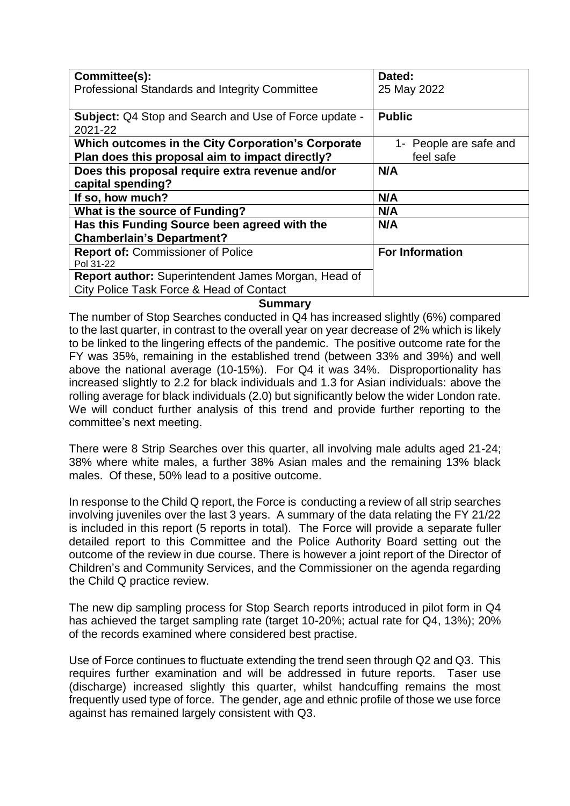| Committee(s):<br><b>Professional Standards and Integrity Committee</b>                                 | Dated:<br>25 May 2022               |
|--------------------------------------------------------------------------------------------------------|-------------------------------------|
| <b>Subject:</b> Q4 Stop and Search and Use of Force update -<br>2021-22                                | <b>Public</b>                       |
| Which outcomes in the City Corporation's Corporate<br>Plan does this proposal aim to impact directly?  | 1- People are safe and<br>feel safe |
| Does this proposal require extra revenue and/or<br>capital spending?                                   | N/A                                 |
| If so, how much?                                                                                       | N/A                                 |
| What is the source of Funding?                                                                         | N/A                                 |
| Has this Funding Source been agreed with the<br><b>Chamberlain's Department?</b>                       | N/A                                 |
| <b>Report of: Commissioner of Police</b><br>Pol 31-22                                                  | <b>For Information</b>              |
| <b>Report author:</b> Superintendent James Morgan, Head of<br>City Police Task Force & Head of Contact |                                     |

## **Summary**

The number of Stop Searches conducted in Q4 has increased slightly (6%) compared to the last quarter, in contrast to the overall year on year decrease of 2% which is likely to be linked to the lingering effects of the pandemic. The positive outcome rate for the FY was 35%, remaining in the established trend (between 33% and 39%) and well above the national average (10-15%). For Q4 it was 34%. Disproportionality has increased slightly to 2.2 for black individuals and 1.3 for Asian individuals: above the rolling average for black individuals (2.0) but significantly below the wider London rate. We will conduct further analysis of this trend and provide further reporting to the committee's next meeting.

There were 8 Strip Searches over this quarter, all involving male adults aged 21-24; 38% where white males, a further 38% Asian males and the remaining 13% black males. Of these, 50% lead to a positive outcome.

In response to the Child Q report, the Force is conducting a review of all strip searches involving juveniles over the last 3 years. A summary of the data relating the FY 21/22 is included in this report (5 reports in total). The Force will provide a separate fuller detailed report to this Committee and the Police Authority Board setting out the outcome of the review in due course. There is however a joint report of the Director of Children's and Community Services, and the Commissioner on the agenda regarding the Child Q practice review.

The new dip sampling process for Stop Search reports introduced in pilot form in Q4 has achieved the target sampling rate (target 10-20%; actual rate for Q4, 13%); 20% of the records examined where considered best practise.

Use of Force continues to fluctuate extending the trend seen through Q2 and Q3. This requires further examination and will be addressed in future reports. Taser use (discharge) increased slightly this quarter, whilst handcuffing remains the most frequently used type of force. The gender, age and ethnic profile of those we use force against has remained largely consistent with Q3.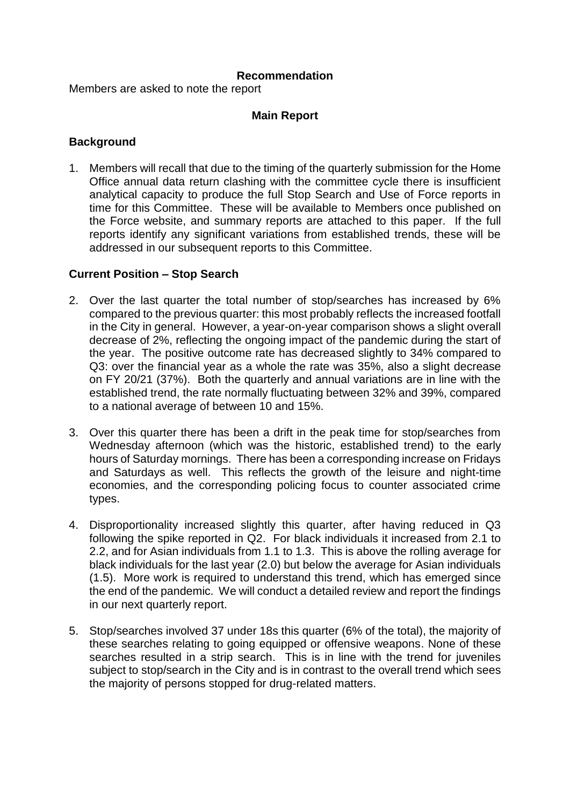## **Recommendation**

Members are asked to note the report

# **Main Report**

# **Background**

1. Members will recall that due to the timing of the quarterly submission for the Home Office annual data return clashing with the committee cycle there is insufficient analytical capacity to produce the full Stop Search and Use of Force reports in time for this Committee. These will be available to Members once published on the Force website, and summary reports are attached to this paper. If the full reports identify any significant variations from established trends, these will be addressed in our subsequent reports to this Committee.

## **Current Position – Stop Search**

- 2. Over the last quarter the total number of stop/searches has increased by 6% compared to the previous quarter: this most probably reflects the increased footfall in the City in general. However, a year-on-year comparison shows a slight overall decrease of 2%, reflecting the ongoing impact of the pandemic during the start of the year. The positive outcome rate has decreased slightly to 34% compared to Q3: over the financial year as a whole the rate was 35%, also a slight decrease on FY 20/21 (37%). Both the quarterly and annual variations are in line with the established trend, the rate normally fluctuating between 32% and 39%, compared to a national average of between 10 and 15%.
- 3. Over this quarter there has been a drift in the peak time for stop/searches from Wednesday afternoon (which was the historic, established trend) to the early hours of Saturday mornings. There has been a corresponding increase on Fridays and Saturdays as well. This reflects the growth of the leisure and night-time economies, and the corresponding policing focus to counter associated crime types.
- 4. Disproportionality increased slightly this quarter, after having reduced in Q3 following the spike reported in Q2. For black individuals it increased from 2.1 to 2.2, and for Asian individuals from 1.1 to 1.3. This is above the rolling average for black individuals for the last year (2.0) but below the average for Asian individuals (1.5). More work is required to understand this trend, which has emerged since the end of the pandemic. We will conduct a detailed review and report the findings in our next quarterly report.
- 5. Stop/searches involved 37 under 18s this quarter (6% of the total), the majority of these searches relating to going equipped or offensive weapons. None of these searches resulted in a strip search. This is in line with the trend for juveniles subject to stop/search in the City and is in contrast to the overall trend which sees the majority of persons stopped for drug-related matters.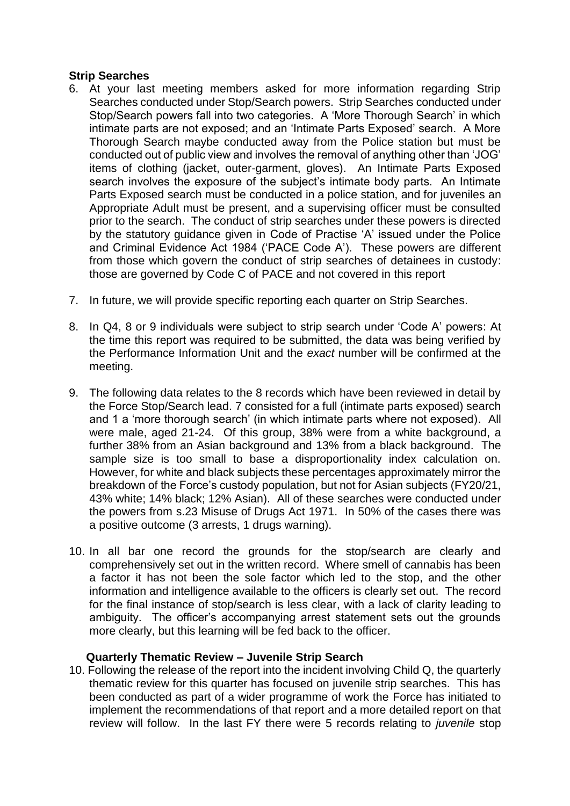## **Strip Searches**

- 6. At your last meeting members asked for more information regarding Strip Searches conducted under Stop/Search powers. Strip Searches conducted under Stop/Search powers fall into two categories. A 'More Thorough Search' in which intimate parts are not exposed; and an 'Intimate Parts Exposed' search. A More Thorough Search maybe conducted away from the Police station but must be conducted out of public view and involves the removal of anything other than 'JOG' items of clothing (jacket, outer-garment, gloves). An Intimate Parts Exposed search involves the exposure of the subject's intimate body parts. An Intimate Parts Exposed search must be conducted in a police station, and for juveniles an Appropriate Adult must be present, and a supervising officer must be consulted prior to the search. The conduct of strip searches under these powers is directed by the statutory guidance given in Code of Practise 'A' issued under the Police and Criminal Evidence Act 1984 ('PACE Code A'). These powers are different from those which govern the conduct of strip searches of detainees in custody: those are governed by Code C of PACE and not covered in this report
- 7. In future, we will provide specific reporting each quarter on Strip Searches.
- 8. In Q4, 8 or 9 individuals were subject to strip search under 'Code A' powers: At the time this report was required to be submitted, the data was being verified by the Performance Information Unit and the *exact* number will be confirmed at the meeting.
- 9. The following data relates to the 8 records which have been reviewed in detail by the Force Stop/Search lead. 7 consisted for a full (intimate parts exposed) search and 1 a 'more thorough search' (in which intimate parts where not exposed). All were male, aged 21-24. Of this group, 38% were from a white background, a further 38% from an Asian background and 13% from a black background. The sample size is too small to base a disproportionality index calculation on. However, for white and black subjects these percentages approximately mirror the breakdown of the Force's custody population, but not for Asian subjects (FY20/21, 43% white; 14% black; 12% Asian). All of these searches were conducted under the powers from s.23 Misuse of Drugs Act 1971. In 50% of the cases there was a positive outcome (3 arrests, 1 drugs warning).
- 10. In all bar one record the grounds for the stop/search are clearly and comprehensively set out in the written record. Where smell of cannabis has been a factor it has not been the sole factor which led to the stop, and the other information and intelligence available to the officers is clearly set out. The record for the final instance of stop/search is less clear, with a lack of clarity leading to ambiguity. The officer's accompanying arrest statement sets out the grounds more clearly, but this learning will be fed back to the officer.

# **Quarterly Thematic Review – Juvenile Strip Search**

10. Following the release of the report into the incident involving Child Q, the quarterly thematic review for this quarter has focused on juvenile strip searches. This has been conducted as part of a wider programme of work the Force has initiated to implement the recommendations of that report and a more detailed report on that review will follow. In the last FY there were 5 records relating to *juvenile* stop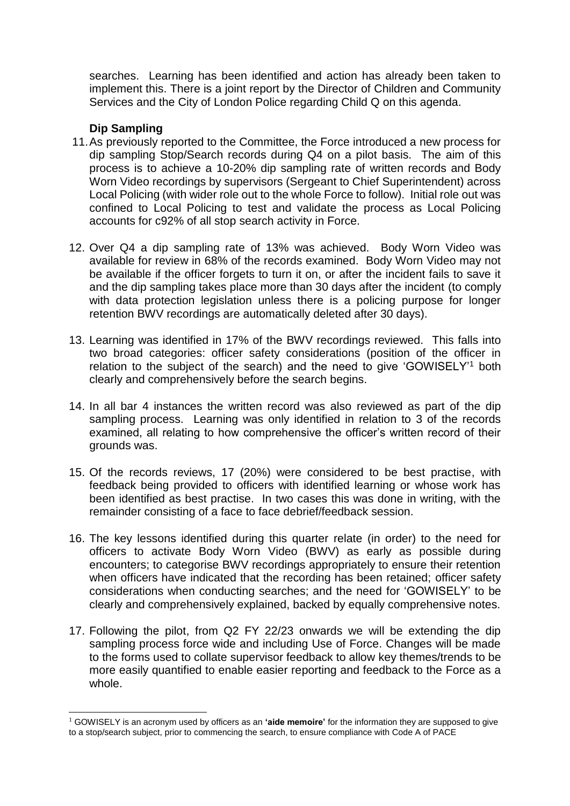searches. Learning has been identified and action has already been taken to implement this. There is a joint report by the Director of Children and Community Services and the City of London Police regarding Child Q on this agenda.

# **Dip Sampling**

-

- 11.As previously reported to the Committee, the Force introduced a new process for dip sampling Stop/Search records during Q4 on a pilot basis. The aim of this process is to achieve a 10-20% dip sampling rate of written records and Body Worn Video recordings by supervisors (Sergeant to Chief Superintendent) across Local Policing (with wider role out to the whole Force to follow). Initial role out was confined to Local Policing to test and validate the process as Local Policing accounts for c92% of all stop search activity in Force.
- 12. Over Q4 a dip sampling rate of 13% was achieved. Body Worn Video was available for review in 68% of the records examined. Body Worn Video may not be available if the officer forgets to turn it on, or after the incident fails to save it and the dip sampling takes place more than 30 days after the incident (to comply with data protection legislation unless there is a policing purpose for longer retention BWV recordings are automatically deleted after 30 days).
- 13. Learning was identified in 17% of the BWV recordings reviewed. This falls into two broad categories: officer safety considerations (position of the officer in relation to the subject of the search) and the need to give 'GOWISELY'<sup>1</sup> both clearly and comprehensively before the search begins.
- 14. In all bar 4 instances the written record was also reviewed as part of the dip sampling process. Learning was only identified in relation to 3 of the records examined, all relating to how comprehensive the officer's written record of their grounds was.
- 15. Of the records reviews, 17 (20%) were considered to be best practise, with feedback being provided to officers with identified learning or whose work has been identified as best practise. In two cases this was done in writing, with the remainder consisting of a face to face debrief/feedback session.
- 16. The key lessons identified during this quarter relate (in order) to the need for officers to activate Body Worn Video (BWV) as early as possible during encounters; to categorise BWV recordings appropriately to ensure their retention when officers have indicated that the recording has been retained; officer safety considerations when conducting searches; and the need for 'GOWISELY' to be clearly and comprehensively explained, backed by equally comprehensive notes.
- 17. Following the pilot, from Q2 FY 22/23 onwards we will be extending the dip sampling process force wide and including Use of Force. Changes will be made to the forms used to collate supervisor feedback to allow key themes/trends to be more easily quantified to enable easier reporting and feedback to the Force as a whole.

<sup>1</sup> GOWISELY is an acronym used by officers as an **'aide memoire'** for the information they are supposed to give to a stop/search subject, prior to commencing the search, to ensure compliance with Code A of PACE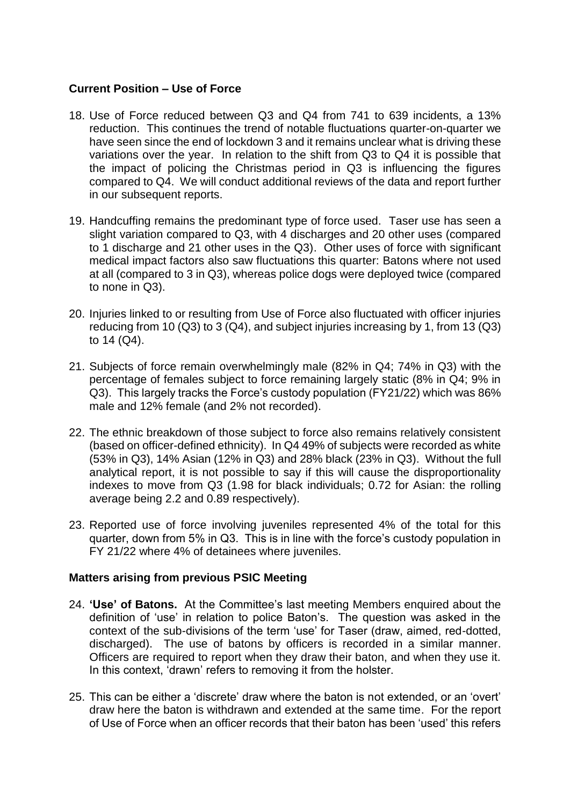# **Current Position – Use of Force**

- 18. Use of Force reduced between Q3 and Q4 from 741 to 639 incidents, a 13% reduction. This continues the trend of notable fluctuations quarter-on-quarter we have seen since the end of lockdown 3 and it remains unclear what is driving these variations over the year. In relation to the shift from Q3 to Q4 it is possible that the impact of policing the Christmas period in Q3 is influencing the figures compared to Q4. We will conduct additional reviews of the data and report further in our subsequent reports.
- 19. Handcuffing remains the predominant type of force used. Taser use has seen a slight variation compared to Q3, with 4 discharges and 20 other uses (compared to 1 discharge and 21 other uses in the Q3). Other uses of force with significant medical impact factors also saw fluctuations this quarter: Batons where not used at all (compared to 3 in Q3), whereas police dogs were deployed twice (compared to none in Q3).
- 20. Injuries linked to or resulting from Use of Force also fluctuated with officer injuries reducing from 10 (Q3) to 3 (Q4), and subject injuries increasing by 1, from 13 (Q3) to 14 (Q4).
- 21. Subjects of force remain overwhelmingly male (82% in Q4; 74% in Q3) with the percentage of females subject to force remaining largely static (8% in Q4; 9% in Q3). This largely tracks the Force's custody population (FY21/22) which was 86% male and 12% female (and 2% not recorded).
- 22. The ethnic breakdown of those subject to force also remains relatively consistent (based on officer-defined ethnicity). In Q4 49% of subjects were recorded as white (53% in Q3), 14% Asian (12% in Q3) and 28% black (23% in Q3). Without the full analytical report, it is not possible to say if this will cause the disproportionality indexes to move from Q3 (1.98 for black individuals; 0.72 for Asian: the rolling average being 2.2 and 0.89 respectively).
- 23. Reported use of force involving juveniles represented 4% of the total for this quarter, down from 5% in Q3. This is in line with the force's custody population in FY 21/22 where 4% of detainees where juveniles.

## **Matters arising from previous PSIC Meeting**

- 24. **'Use' of Batons.** At the Committee's last meeting Members enquired about the definition of 'use' in relation to police Baton's. The question was asked in the context of the sub-divisions of the term 'use' for Taser (draw, aimed, red-dotted, discharged). The use of batons by officers is recorded in a similar manner. Officers are required to report when they draw their baton, and when they use it. In this context, 'drawn' refers to removing it from the holster.
- 25. This can be either a 'discrete' draw where the baton is not extended, or an 'overt' draw here the baton is withdrawn and extended at the same time. For the report of Use of Force when an officer records that their baton has been 'used' this refers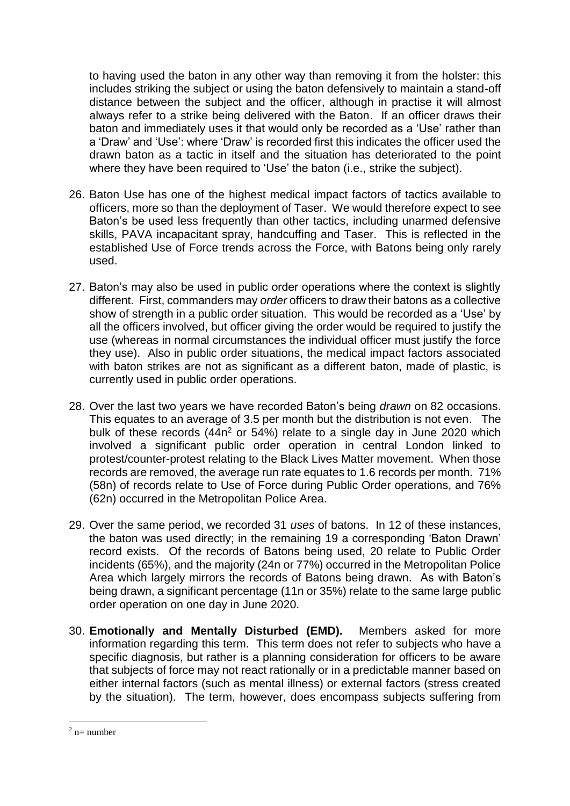to having used the baton in any other way than removing it from the holster: this includes striking the subject or using the baton defensively to maintain a stand-off distance between the subject and the officer, although in practise it will almost always refer to a strike being delivered with the Baton. If an officer draws their baton and immediately uses it that would only be recorded as a 'Use' rather than a 'Draw' and 'Use': where 'Draw' is recorded first this indicates the officer used the drawn baton as a tactic in itself and the situation has deteriorated to the point where they have been required to 'Use' the baton (i.e., strike the subject).

- 26. Baton Use has one of the highest medical impact factors of tactics available to officers, more so than the deployment of Taser. We would therefore expect to see Baton's be used less frequently than other tactics, including unarmed defensive skills, PAVA incapacitant spray, handcuffing and Taser. This is reflected in the established Use of Force trends across the Force, with Batons being only rarely used.
- 27. Baton's may also be used in public order operations where the context is slightly different. First, commanders may *order* officers to draw their batons as a collective show of strength in a public order situation. This would be recorded as a 'Use' by all the officers involved, but officer giving the order would be required to justify the use (whereas in normal circumstances the individual officer must justify the force they use). Also in public order situations, the medical impact factors associated with baton strikes are not as significant as a different baton, made of plastic, is currently used in public order operations.
- 28. Over the last two years we have recorded Baton's being *drawn* on 82 occasions. This equates to an average of 3.5 per month but the distribution is not even. The bulk of these records (44n<sup>2</sup> or 54%) relate to a single day in June 2020 which involved a significant public order operation in central London linked to protest/counter-protest relating to the Black Lives Matter movement. When those records are removed, the average run rate equates to 1.6 records per month. 71% (58n) of records relate to Use of Force during Public Order operations, and 76% (62n) occurred in the Metropolitan Police Area.
- 29. Over the same period, we recorded 31 *uses* of batons. In 12 of these instances, the baton was used directly; in the remaining 19 a corresponding 'Baton Drawn' record exists. Of the records of Batons being used, 20 relate to Public Order incidents (65%), and the majority (24n or 77%) occurred in the Metropolitan Police Area which largely mirrors the records of Batons being drawn. As with Baton's being drawn, a significant percentage (11n or 35%) relate to the same large public order operation on one day in June 2020.
- 30. **Emotionally and Mentally Disturbed (EMD).** Members asked for more information regarding this term. This term does not refer to subjects who have a specific diagnosis, but rather is a planning consideration for officers to be aware that subjects of force may not react rationally or in a predictable manner based on either internal factors (such as mental illness) or external factors (stress created by the situation). The term, however, does encompass subjects suffering from

 $\overline{a}$ 

 $2$  n= number